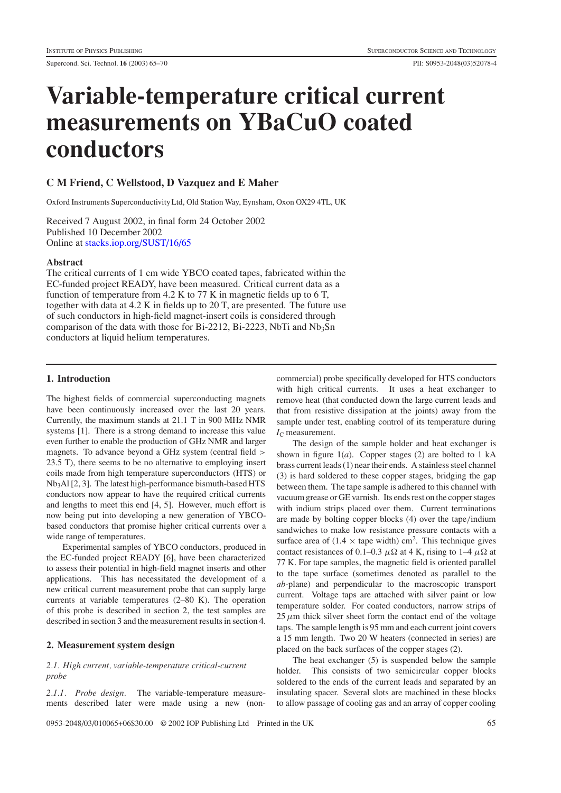# **Variable-temperature critical current measurements on YBaCuO coated conductors**

# **C M Friend, C Wellstood, D Vazquez and E Maher**

Oxford Instruments Superconductivity Ltd, Old Station Way, Eynsham, Oxon OX29 4TL, UK

Received 7 August 2002, in final form 24 October 2002 Published 10 December 2002 Online at [stacks.iop.org/SUST/16/65](stacks.iop.org/su/16/65)

## **Abstract**

The critical currents of 1 cm wide YBCO coated tapes, fabricated within the EC-funded project READY, have been measured. Critical current data as a function of temperature from 4.2 K to 77 K in magnetic fields up to 6 T, together with data at 4.2 K in fields up to 20 T, are presented. The future use of such conductors in high-field magnet-insert coils is considered through comparison of the data with those for Bi-2212, Bi-2223, NbTi and  $Nb<sub>3</sub>Sn$ conductors at liquid helium temperatures.

## **1. Introduction**

The highest fields of commercial superconducting magnets have been continuously increased over the last 20 years. Currently, the maximum stands at 21.1 T in 900 MHz NMR systems [1]. There is a strong demand to increase this value even further to enable the production of GHz NMR and larger magnets. To advance beyond a GHz system (central field > 23.5 T), there seems to be no alternative to employing insert coils made from high temperature superconductors (HTS) or Nb3Al [2, 3]. The latest high-performance bismuth-based HTS conductors now appear to have the required critical currents and lengths to meet this end [4, 5]. However, much effort is now being put into developing a new generation of YBCObased conductors that promise higher critical currents over a wide range of temperatures.

Experimental samples of YBCO conductors, produced in the EC-funded project READY [6], have been characterized to assess their potential in high-field magnet inserts and other applications. This has necessitated the development of a new critical current measurement probe that can supply large currents at variable temperatures (2–80 K). The operation of this probe is described in section [2,](#page-0-0) the test samples are described in section [3](#page-1-0) and the measurement results in section [4.](#page-2-0)

# <span id="page-0-0"></span>**2. Measurement system design**

*2.1. High current, variable-temperature critical-current probe*

*2.1.1. Probe design.* The variable-temperature measurements described later were made using a new (non-

commercial) probe specifically developed for HTS conductors with high critical currents. It uses a heat exchanger to remove heat (that conducted down the large current leads and that from resistive dissipation at the joints) away from the sample under test, enabling control of its temperature during  $I_{\rm C}$  measurement.

The design of the sample holder and heat exchanger is shown in figure  $1(a)$  $1(a)$ . Copper stages (2) are bolted to 1 kA brass current leads (1) near their ends. A stainless steel channel (3) is hard soldered to these copper stages, bridging the gap between them. The tape sample is adhered to this channel with vacuum grease or GE varnish. Its ends rest on the copper stages with indium strips placed over them. Current terminations are made by bolting copper blocks (4) over the tape/indium sandwiches to make low resistance pressure contacts with a surface area of  $(1.4 \times \text{tape width}) \text{ cm}^2$ . This technique gives contact resistances of 0.1–0.3  $\mu\Omega$  at 4 K, rising to 1–4  $\mu\Omega$  at 77 K. For tape samples, the magnetic field is oriented parallel to the tape surface (sometimes denoted as parallel to the *ab*-plane) and perpendicular to the macroscopic transport current. Voltage taps are attached with silver paint or low temperature solder. For coated conductors, narrow strips of  $25 \mu m$  thick silver sheet form the contact end of the voltage taps. The sample length is 95 mm and each current joint covers a 15 mm length. Two 20 W heaters (connected in series) are placed on the back surfaces of the copper stages (2).

The heat exchanger (5) is suspended below the sample holder. This consists of two semicircular copper blocks soldered to the ends of the current leads and separated by an insulating spacer. Several slots are machined in these blocks to allow passage of cooling gas and an array of copper cooling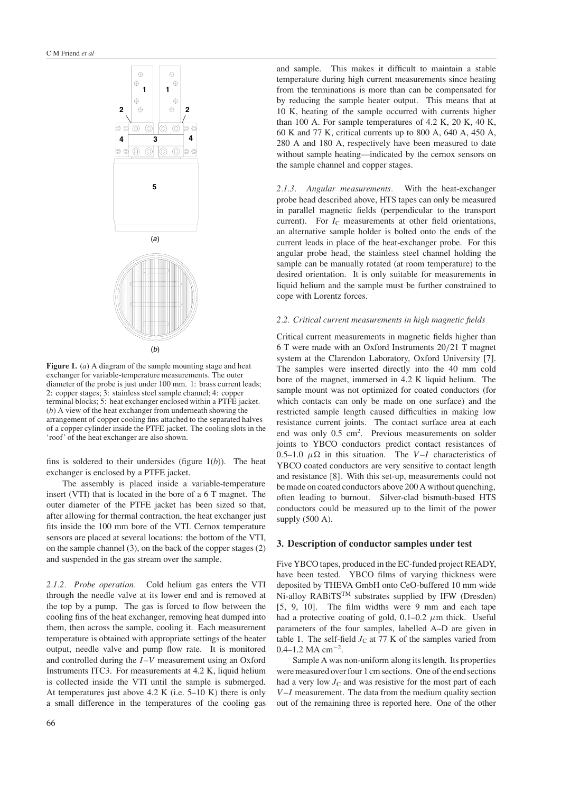

<span id="page-1-1"></span>**Figure 1.** (*a*) A diagram of the sample mounting stage and heat exchanger for variable-temperature measurements. The outer diameter of the probe is just under 100 mm. 1: brass current leads; 2: copper stages; 3: stainless steel sample channel; 4: copper terminal blocks; 5: heat exchanger enclosed within a PTFE jacket. (*b*) A view of the heat exchanger from underneath showing the arrangement of copper cooling fins attached to the separated halves of a copper cylinder inside the PTFE jacket. The cooling slots in the 'roof' of the heat exchanger are also shown.

fins is soldered to their undersides (figure  $1(b)$  $1(b)$ ). The heat exchanger is enclosed by a PTFE jacket.

The assembly is placed inside a variable-temperature insert (VTI) that is located in the bore of a 6 T magnet. The outer diameter of the PTFE jacket has been sized so that, after allowing for thermal contraction, the heat exchanger just fits inside the 100 mm bore of the VTI. Cernox temperature sensors are placed at several locations: the bottom of the VTI, on the sample channel (3), on the back of the copper stages (2) and suspended in the gas stream over the sample.

*2.1.2. Probe operation.* Cold helium gas enters the VTI through the needle valve at its lower end and is removed at the top by a pump. The gas is forced to flow between the cooling fins of the heat exchanger, removing heat dumped into them, then across the sample, cooling it. Each measurement temperature is obtained with appropriate settings of the heater output, needle valve and pump flow rate. It is monitored and controlled during the I–V measurement using an Oxford Instruments ITC3. For measurements at 4.2 K, liquid helium is collected inside the VTI until the sample is submerged. At temperatures just above 4.2 K (i.e. 5–10 K) there is only a small difference in the temperatures of the cooling gas

and sample. This makes it difficult to maintain a stable temperature during high current measurements since heating from the terminations is more than can be compensated for by reducing the sample heater output. This means that at 10 K, heating of the sample occurred with currents higher than 100 A. For sample temperatures of  $4.2$  K,  $20$  K,  $40$  K, 60 K and 77 K, critical currents up to 800 A, 640 A, 450 A, 280 A and 180 A, respectively have been measured to date without sample heating—indicated by the cernox sensors on the sample channel and copper stages.

*2.1.3. Angular measurements.* With the heat-exchanger probe head described above, HTS tapes can only be measured in parallel magnetic fields (perpendicular to the transport current). For  $I_{\rm C}$  measurements at other field orientations, an alternative sample holder is bolted onto the ends of the current leads in place of the heat-exchanger probe. For this angular probe head, the stainless steel channel holding the sample can be manually rotated (at room temperature) to the desired orientation. It is only suitable for measurements in liquid helium and the sample must be further constrained to cope with Lorentz forces.

## *2.2. Critical current measurements in high magnetic fields*

Critical current measurements in magnetic fields higher than 6 T were made with an Oxford Instruments 20/21 T magnet system at the Clarendon Laboratory, Oxford University [7]. The samples were inserted directly into the 40 mm cold bore of the magnet, immersed in 4.2 K liquid helium. The sample mount was not optimized for coated conductors (for which contacts can only be made on one surface) and the restricted sample length caused difficulties in making low resistance current joints. The contact surface area at each end was only 0.5 cm<sup>2</sup>. Previous measurements on solder joints to YBCO conductors predict contact resistances of 0.5–1.0  $\mu\Omega$  in this situation. The V–I characteristics of YBCO coated conductors are very sensitive to contact length and resistance [8]. With this set-up, measurements could not be made on coated conductors above 200 A without quenching, often leading to burnout. Silver-clad bismuth-based HTS conductors could be measured up to the limit of the power supply (500 A).

#### <span id="page-1-0"></span>**3. Description of conductor samples under test**

Five YBCO tapes, produced in the EC-funded project READY, have been tested. YBCO films of varying thickness were deposited by THEVA GmbH onto CeO-buffered 10 mm wide N<sub>i-alloy</sub> RABiTS<sup>TM</sup> substrates supplied by IFW (Dresden) [5, 9, 10]. The film widths were 9 mm and each tape had a protective coating of gold,  $0.1-0.2 \mu m$  thick. Useful parameters of the four samples, labelled A–D are given in table [1.](#page-2-1) The self-field  $J<sub>C</sub>$  at 77 K of the samples varied from 0.4–1.2 MA cm−2.

Sample A was non-uniform along its length. Its properties were measured over four 1 cm sections. One of the end sections had a very low  $J<sub>C</sub>$  and was resistive for the most part of each  $V-I$  measurement. The data from the medium quality section out of the remaining three is reported here. One of the other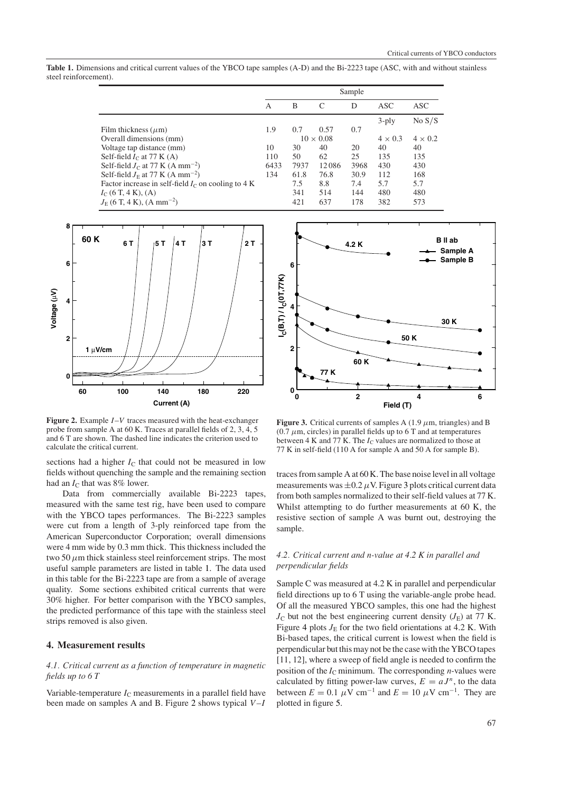<span id="page-2-1"></span>**Table 1.** Dimensions and critical current values of the YBCO tape samples (A-D) and the Bi-2223 tape (ASC, with and without stainless steel reinforcement).

|                                                      | Sample           |      |       |      |                |                |
|------------------------------------------------------|------------------|------|-------|------|----------------|----------------|
|                                                      | A                | B    | C     | D    | ASC            | ASC            |
|                                                      |                  |      |       |      | $3$ -ply       | No S/S         |
| Film thickness $(\mu m)$                             | 1.9              | 0.7  | 0.57  | 0.7  |                |                |
| Overall dimensions (mm)                              | $10 \times 0.08$ |      |       |      | $4 \times 0.3$ | $4 \times 0.2$ |
| Voltage tap distance (mm)                            | 10               | 30   | 40    | 20   | 40             | 40             |
| Self-field $I_C$ at 77 K (A)                         | 110              | 50   | 62    | 25   | 135            | 135            |
| Self-field $J_C$ at 77 K (A mm <sup>-2</sup> )       | 6433             | 7937 | 12086 | 3968 | 430            | 430            |
| Self-field $J_F$ at 77 K (A mm <sup>-2</sup> )       | 134              | 61.8 | 76.8  | 30.9 | 112            | 168            |
| Factor increase in self-field $IC$ on cooling to 4 K |                  | 7.5  | 8.8   | 7.4  | 5.7            | 5.7            |
| $I_{C}$ (6 T, 4 K), (A)                              |                  | 341  | 514   | 144  | 480            | 480            |
| $J_{\rm E}$ (6 T, 4 K), (A mm <sup>-2</sup> )        |                  | 421  | 637   | 178  | 382            | 573            |



<span id="page-2-2"></span>**Figure 2.** Example  $I-V$  traces measured with the heat-exchanger probe from sample A at 60 K. Traces at parallel fields of 2, 3, 4, 5 and 6 T are shown. The dashed line indicates the criterion used to calculate the critical current.

sections had a higher  $I_C$  that could not be measured in low fields without quenching the sample and the remaining section had an *I*<sub>C</sub> that was 8% lower.

Data from commercially available Bi-2223 tapes, measured with the same test rig, have been used to compare with the YBCO tapes performances. The Bi-2223 samples were cut from a length of 3-ply reinforced tape from the American Superconductor Corporation; overall dimensions were 4 mm wide by 0.3 mm thick. This thickness included the two 50  $\mu$ m thick stainless steel reinforcement strips. The most useful sample parameters are listed in table [1.](#page-2-1) The data used in this table for the Bi-2223 tape are from a sample of average quality. Some sections exhibited critical currents that were 30% higher. For better comparison with the YBCO samples, the predicted performance of this tape with the stainless steel strips removed is also given.

# <span id="page-2-0"></span>**4. Measurement results**

## *4.1. Critical current as a function of temperature in magnetic fields up to6T*

Variable-temperature  $I_{\rm C}$  measurements in a parallel field have been made on samples A and B. Figure [2](#page-2-2) shows typical  $V-I$ 



<span id="page-2-3"></span>**Figure 3.** Critical currents of samples A  $(1.9 \mu m, \text{triangles})$  and B (0.7  $\mu$ m, circles) in parallel fields up to 6 T and at temperatures between 4 K and 77 K. The *I*<sub>C</sub> values are normalized to those at 77 K in self-field (110 A for sample A and 50 A for sample B).

traces from sample A at 60 K. The base noise level in all voltage measurements was  $\pm 0.2 \mu$ V. Figure [3](#page-2-3) plots critical current data from both samples normalized to their self-field values at 77 K. Whilst attempting to do further measurements at 60 K, the resistive section of sample A was burnt out, destroying the sample.

# *4.2. Critical current and n-value at 4.2 K in parallel and perpendicular fields*

Sample C was measured at 4.2 K in parallel and perpendicular field directions up to 6 T using the variable-angle probe head. Of all the measured YBCO samples, this one had the highest  $J<sub>C</sub>$  but not the best engineering current density  $(J<sub>E</sub>)$  at 77 K. Figure [4](#page-3-0) plots  $J<sub>E</sub>$  for the two field orientations at 4.2 K. With Bi-based tapes, the critical current is lowest when the field is perpendicular but this may not be the case with the YBCO tapes [11, 12], where a sweep of field angle is needed to confirm the position of the  $I_{\rm C}$  minimum. The corresponding *n*-values were calculated by fitting power-law curves,  $E = aJ^n$ , to the data between  $E = 0.1 \mu V \text{ cm}^{-1}$  and  $E = 10 \mu V \text{ cm}^{-1}$ . They are plotted in figure [5.](#page-3-1)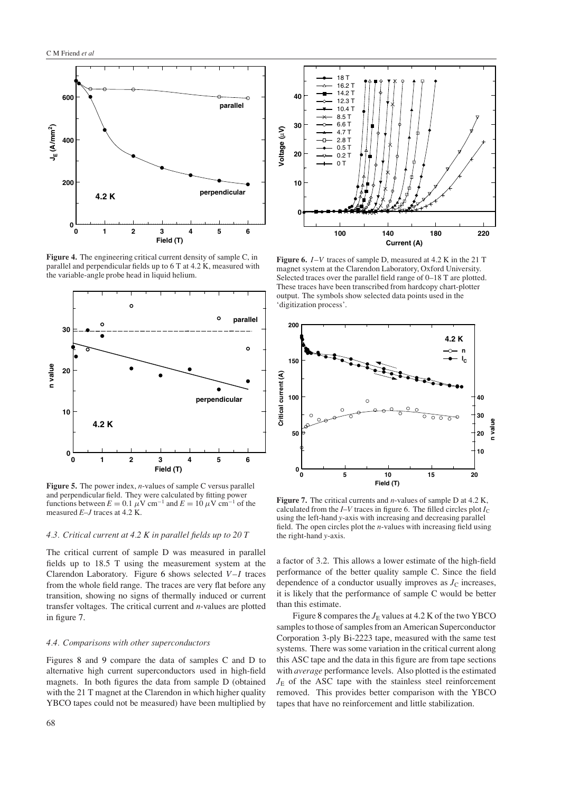

<span id="page-3-0"></span>**Figure 4.** The engineering critical current density of sample C, in parallel and perpendicular fields up to 6 T at 4.2 K, measured with the variable-angle probe head in liquid helium.



<span id="page-3-1"></span>**Figure 5.** The power index, *n*-values of sample C versus parallel and perpendicular field. They were calculated by fitting power functions between  $E = 0.1 \mu V \text{ cm}^{-1}$  and  $E = 10 \mu V \text{ cm}^{-1}$  of the measured *E*–*J* traces at 4.2 K.

# *4.3. Critical current at 4.2 K in parallel fields up to 20 T*

The critical current of sample D was measured in parallel fields up to 18.5 T using the measurement system at the Clarendon Laboratory. Figure [6](#page-3-2) shows selected  $V-I$  traces from the whole field range. The traces are very flat before any transition, showing no signs of thermally induced or current transfer voltages. The critical current and *n*-values are plotted in figure [7.](#page-3-3)

#### *4.4. Comparisons with other superconductors*

Figures [8](#page-4-0) and [9](#page-4-1) compare the data of samples C and D to alternative high current superconductors used in high-field magnets. In both figures the data from sample D (obtained with the 21 T magnet at the Clarendon in which higher quality YBCO tapes could not be measured) have been multiplied by



<span id="page-3-2"></span>**Figure 6.** I–V traces of sample D, measured at 4.2 K in the 21 T magnet system at the Clarendon Laboratory, Oxford University. Selected traces over the parallel field range of 0–18 T are plotted. These traces have been transcribed from hardcopy chart-plotter output. The symbols show selected data points used in the 'digitization process'.



<span id="page-3-3"></span>**Figure 7.** The critical currents and *n*-values of sample D at 4.2 K, calculated from the  $I-V$  traces in figure 6. The filled circles plot  $I_C$ using the left-hand *y*-axis with increasing and decreasing parallel field. The open circles plot the *n*-values with increasing field using the right-hand *y*-axis.

a factor of 3.2. This allows a lower estimate of the high-field performance of the better quality sample C. Since the field dependence of a conductor usually improves as  $J<sub>C</sub>$  increases, it is likely that the performance of sample C would be better than this estimate.

Figure [8](#page-4-0) compares the  $J_E$  values at 4.2 K of the two YBCO samples to those of samples from an American Superconductor Corporation 3-ply Bi-2223 tape, measured with the same test systems. There was some variation in the critical current along this ASC tape and the data in this figure are from tape sections with *average* performance levels. Also plotted is the estimated  $J_{\rm E}$  of the ASC tape with the stainless steel reinforcement removed. This provides better comparison with the YBCO tapes that have no reinforcement and little stabilization.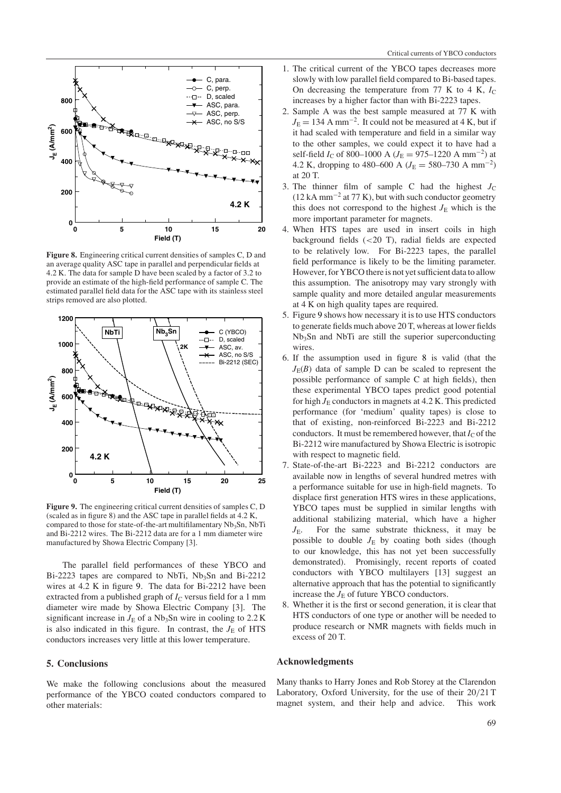

<span id="page-4-0"></span>**Figure 8.** Engineering critical current densities of samples C, D and an average quality ASC tape in parallel and perpendicular fields at 4.2 K. The data for sample D have been scaled by a factor of 3.2 to provide an estimate of the high-field performance of sample C. The estimated parallel field data for the ASC tape with its stainless steel strips removed are also plotted.



<span id="page-4-1"></span>**Figure 9.** The engineering critical current densities of samples C, D (scaled as in figure 8) and the ASC tape in parallel fields at 4.2 K, compared to those for state-of-the-art multifilamentary Nb<sub>3</sub>Sn, NbTi and Bi-2212 wires. The Bi-2212 data are for a 1 mm diameter wire manufactured by Showa Electric Company [3].

The parallel field performances of these YBCO and Bi-2223 tapes are compared to NbTi,  $Nb<sub>3</sub>Sn$  and Bi-2212 wires at 4.2 K in figure [9.](#page-4-1) The data for Bi-2212 have been extracted from a published graph of  $I<sub>C</sub>$  versus field for a 1 mm diameter wire made by Showa Electric Company [3]. The significant increase in  $J<sub>E</sub>$  of a Nb<sub>3</sub>Sn wire in cooling to 2.2 K is also indicated in this figure. In contrast, the  $J<sub>E</sub>$  of HTS conductors increases very little at this lower temperature.

## **5. Conclusions**

We make the following conclusions about the measured performance of the YBCO coated conductors compared to other materials:

- 1. The critical current of the YBCO tapes decreases more slowly with low parallel field compared to Bi-based tapes. On decreasing the temperature from  $77 \text{ K}$  to  $4 \text{ K}$ ,  $I_C$ increases by a higher factor than with Bi-2223 tapes.
- 2. Sample A was the best sample measured at 77 K with  $J<sub>E</sub> = 134$  A mm<sup>-2</sup>. It could not be measured at 4 K, but if it had scaled with temperature and field in a similar way to the other samples, we could expect it to have had a self-field *I*<sub>C</sub> of 800–1000 A (*J*<sub>E</sub> = 975–1220 A mm<sup>-2</sup>) at 4.2 K, dropping to 480–600 A ( $J<sub>E</sub>$  = 580–730 A mm<sup>-2</sup>) at 20 T.
- 3. The thinner film of sample C had the highest  $J_C$  $(12 \text{ kA mm}^{-2}$  at 77 K), but with such conductor geometry this does not correspond to the highest  $J<sub>E</sub>$  which is the more important parameter for magnets.
- 4. When HTS tapes are used in insert coils in high background fields  $( $20$  T)$ , radial fields are expected to be relatively low. For Bi-2223 tapes, the parallel field performance is likely to be the limiting parameter. However, for YBCO there is not yet sufficient data to allow this assumption. The anisotropy may vary strongly with sample quality and more detailed angular measurements at 4 K on high quality tapes are required.
- 5. Figure [9](#page-4-1) shows how necessary it is to use HTS conductors to generate fields much above 20 T, whereas at lower fields Nb3Sn and NbTi are still the superior superconducting wires.
- 6. If the assumption used in figure [8](#page-4-0) is valid (that the  $J_{E}(B)$  data of sample D can be scaled to represent the possible performance of sample C at high fields), then these experimental YBCO tapes predict good potential for high  $J_E$  conductors in magnets at 4.2 K. This predicted performance (for 'medium' quality tapes) is close to that of existing, non-reinforced Bi-2223 and Bi-2212 conductors. It must be remembered however, that  $I_C$  of the Bi-2212 wire manufactured by Showa Electric is isotropic with respect to magnetic field.
- 7. State-of-the-art Bi-2223 and Bi-2212 conductors are available now in lengths of several hundred metres with a performance suitable for use in high-field magnets. To displace first generation HTS wires in these applications, YBCO tapes must be supplied in similar lengths with additional stabilizing material, which have a higher *J*<sub>E</sub>. For the same substrate thickness, it may be possible to double  $J_E$  by coating both sides (though to our knowledge, this has not yet been successfully demonstrated). Promisingly, recent reports of coated conductors with YBCO multilayers [13] suggest an alternative approach that has the potential to significantly increase the  $J<sub>E</sub>$  of future YBCO conductors.
- 8. Whether it is the first or second generation, it is clear that HTS conductors of one type or another will be needed to produce research or NMR magnets with fields much in excess of 20 T.

#### **Acknowledgments**

Many thanks to Harry Jones and Rob Storey at the Clarendon Laboratory, Oxford University, for the use of their 20/21 T magnet system, and their help and advice. This work